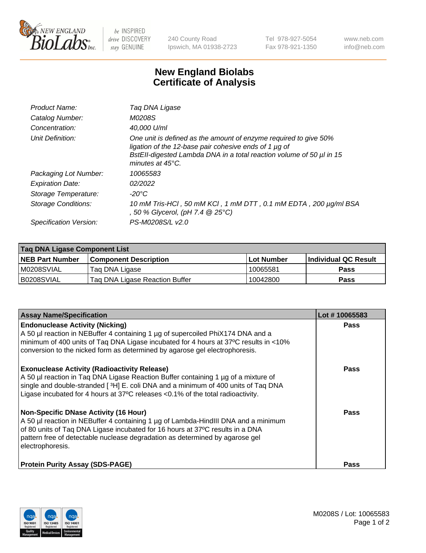

 $be$  INSPIRED drive DISCOVERY stay GENUINE

240 County Road Ipswich, MA 01938-2723 Tel 978-927-5054 Fax 978-921-1350 www.neb.com info@neb.com

## **New England Biolabs Certificate of Analysis**

| Product Name:              | Taq DNA Ligase                                                                                                                                                                                                                  |
|----------------------------|---------------------------------------------------------------------------------------------------------------------------------------------------------------------------------------------------------------------------------|
| Catalog Number:            | M0208S                                                                                                                                                                                                                          |
| Concentration:             | 40,000 U/ml                                                                                                                                                                                                                     |
| Unit Definition:           | One unit is defined as the amount of enzyme required to give 50%<br>ligation of the 12-base pair cohesive ends of 1 µg of<br>BstEll-digested Lambda DNA in a total reaction volume of 50 µl in 15<br>minutes at $45^{\circ}$ C. |
| Packaging Lot Number:      | 10065583                                                                                                                                                                                                                        |
| <b>Expiration Date:</b>    | 02/2022                                                                                                                                                                                                                         |
| Storage Temperature:       | -20°C                                                                                                                                                                                                                           |
| <b>Storage Conditions:</b> | 10 mM Tris-HCl, 50 mM KCl, 1 mM DTT, 0.1 mM EDTA, 200 µg/ml BSA<br>, 50 % Glycerol, (pH 7.4 @ 25°C)                                                                                                                             |
| Specification Version:     | PS-M0208S/L v2.0                                                                                                                                                                                                                |

| Taq DNA Ligase Component List |                                |            |                      |  |
|-------------------------------|--------------------------------|------------|----------------------|--|
| <b>NEB Part Number</b>        | <b>Component Description</b>   | Lot Number | Individual QC Result |  |
| IM0208SVIAL                   | Tag DNA Ligase                 | 10065581   | <b>Pass</b>          |  |
| B0208SVIAL                    | Tag DNA Ligase Reaction Buffer | 10042800   | Pass                 |  |

| <b>Assay Name/Specification</b>                                                                                                                                                                                                                                                                                         | Lot #10065583 |
|-------------------------------------------------------------------------------------------------------------------------------------------------------------------------------------------------------------------------------------------------------------------------------------------------------------------------|---------------|
| <b>Endonuclease Activity (Nicking)</b><br>A 50 µl reaction in NEBuffer 4 containing 1 µg of supercoiled PhiX174 DNA and a<br>minimum of 400 units of Taq DNA Ligase incubated for 4 hours at 37°C results in <10%<br>conversion to the nicked form as determined by agarose gel electrophoresis.                        | <b>Pass</b>   |
| <b>Exonuclease Activity (Radioactivity Release)</b><br>A 50 µl reaction in Taq DNA Ligase Reaction Buffer containing 1 µg of a mixture of<br>single and double-stranded [3H] E. coli DNA and a minimum of 400 units of Taq DNA<br>Ligase incubated for 4 hours at 37°C releases <0.1% of the total radioactivity.       | <b>Pass</b>   |
| <b>Non-Specific DNase Activity (16 Hour)</b><br>A 50 µl reaction in NEBuffer 4 containing 1 µg of Lambda-HindIII DNA and a minimum<br>of 80 units of Taq DNA Ligase incubated for 16 hours at 37°C results in a DNA<br>pattern free of detectable nuclease degradation as determined by agarose gel<br>electrophoresis. | <b>Pass</b>   |
| <b>Protein Purity Assay (SDS-PAGE)</b>                                                                                                                                                                                                                                                                                  | <b>Pass</b>   |